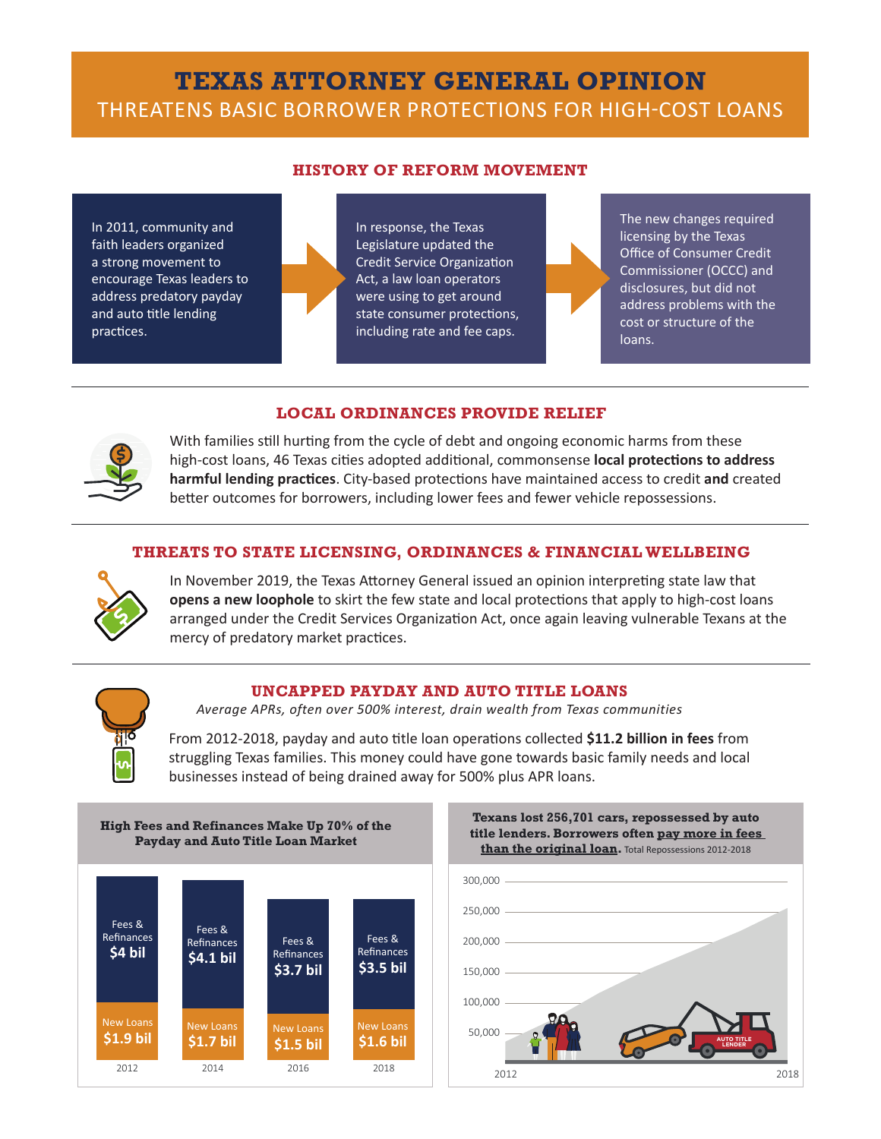# **TEXAS ATTORNEY GENERAL OPINION**  THREATENS BASIC BORROWER PROTECTIONS FOR HIGH-COST LOANS

#### **HISTORY OF REFORM MOVEMENT**

In 2011, community and faith leaders organized a strong movement to encourage Texas leaders to address predatory payday and auto title lending practices.

In response, the Texas Legislature updated the Credit Service Organization Act, a law loan operators were using to get around state consumer protections, including rate and fee caps.



2012 12:00:00 percent and the control of the control of the control of the control of the control of the control of

The new changes required licensing by the Texas Office of Consumer Credit Commissioner (OCCC) and disclosures, but did not address problems with the cost or structure of the loans.

## **LOCAL ORDINANCES PROVIDE RELIEF** 300,000

300,000



With families still hurting from the cycle of debt and ongoing economic harms from these high-cost loans, 46 Texas cities adopted additional, commonsense **local protections to address harmful lending practices**. City-based protections have maintained access to credit **and** created harmful lending practices. City-based protections have maintained access to credit and created better outcomes for borrowers, including lower fees and fewer vehicle repossessions.  $\overline{1}$ 

### **THREATS TO STATE LICENSING, ORDINANCES & FINANCIAL WELLBEING** 100,000

150,000



opens a new loophole to skirt the few state and local protections that apply to high-cost loans **AUTO TITLE IS A NEW LOOPINGE** TO SKILL THE TEW STATE AND TOCAL PROCECTIONS THAT APPTY TO HIGH-COST IOANS<br>Arranged under the Credit Services Organization Act, once again leaving vulnerable Texans at the In November 2019, the Texas Attorney General issued an opinion interpreting state law that mercy of predatory market practices.



#### **UNCAPPED PAYDAY AND AUTO TITLE LOANS**

*Average APRs, often over 500% interest, drain wealth from Texas communities*

From 2012-2018, payday and auto title loan operations collected \$11.2 billion in fees from struggling Texas families. This money could have gone towards basic family needs and local businesses instead of being drained away for 500% plus APR loans.